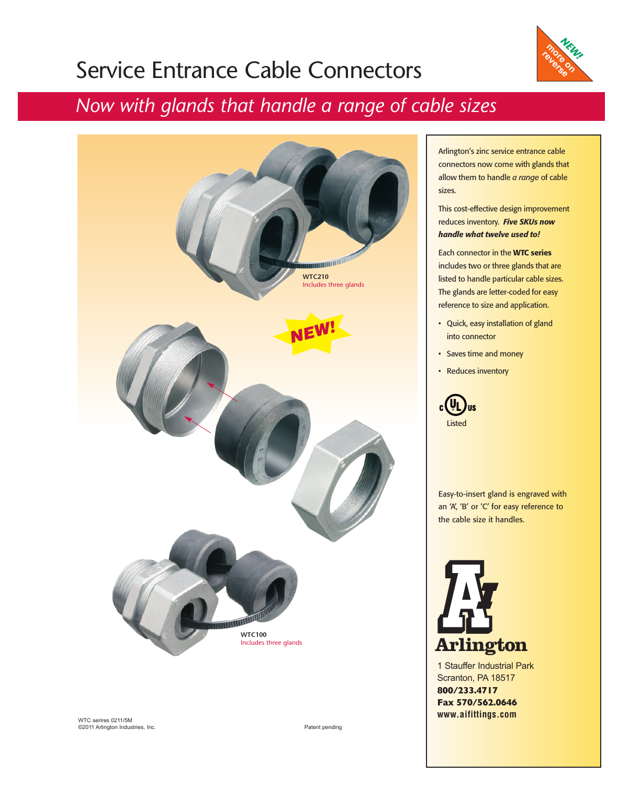## Service Entrance Cable Connectors



#### *Now with glands that handle a range of cable sizes*



Arlington's zinc service entrance cable connectors now come with glands that allow them to handle *a range* of cable sizes.

This cost-effective design improvement reduces inventory. *Five SKUs now handle what twelve used to!*

Each connector in the WTC series includes two or three glands that are listed to handle particular cable sizes. The glands are letter-coded for easy reference to size and application.

- Quick, easy installation of gland into connector
- Saves time and money
- Reduces inventory



Easy-to-insert gland is engraved with an 'A', 'B' or 'C' for easy reference to the cable size it handles.



1 Stauffer Industrial Park Scranton, PA 18517 **800/233.4717 Fax 570/562.0646 www.aifittings.com**

WTC serires 0211/5M ©2011 Arlington Industries, Inc.

Patent pending